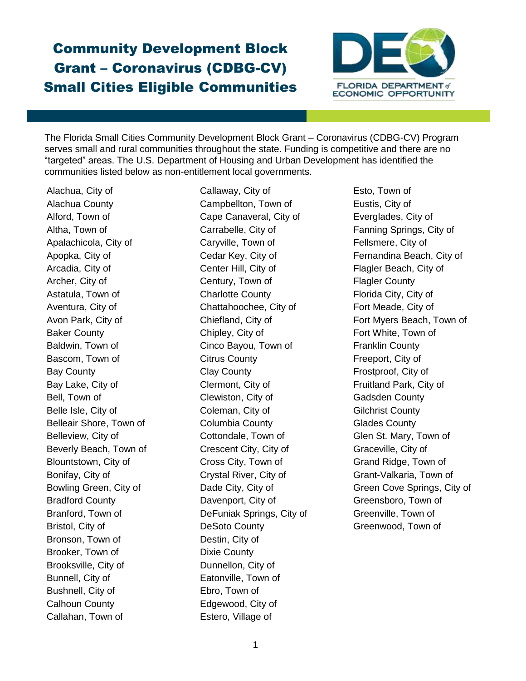## Community Development Block Grant – Coronavirus (CDBG-CV) Small Cities Eligible Communities



The Florida Small Cities Community Development Block Grant – Coronavirus (CDBG-CV) Program serves small and rural communities throughout the state. Funding is competitive and there are no "targeted" areas. The U.S. Department of Housing and Urban Development has identified the communities listed below as non-entitlement local governments.

Alachua, City of Alachua County Alford, Town of Altha, Town of Apalachicola, City of Apopka, City of Arcadia, City of Archer, City of Astatula, Town of Aventura, City of Avon Park, City of Baker County Baldwin, Town of Bascom, Town of Bay County Bay Lake, City of Bell, Town of Belle Isle, City of Belleair Shore, Town of Belleview, City of Beverly Beach, Town of Blountstown, City of Bonifay, City of Bowling Green, City of Bradford County Branford, Town of Bristol, City of Bronson, Town of Brooker, Town of Brooksville, City of Bunnell, City of Bushnell, City of Calhoun County Callahan, Town of

Callaway, City of Campbellton, Town of Cape Canaveral, City of Carrabelle, City of Caryville, Town of Cedar Key, City of Center Hill, City of Century, Town of Charlotte County Chattahoochee, City of Chiefland, City of Chipley, City of Cinco Bayou, Town of Citrus County Clay County Clermont, City of Clewiston, City of Coleman, City of Columbia County Cottondale, Town of Crescent City, City of Cross City, Town of Crystal River, City of Dade City, City of Davenport, City of DeFuniak Springs, City of DeSoto County Destin, City of Dixie County Dunnellon, City of Eatonville, Town of Ebro, Town of Edgewood, City of Estero, Village of

Esto, Town of Eustis, City of Everglades, City of Fanning Springs, City of Fellsmere, City of Fernandina Beach, City of Flagler Beach, City of Flagler County Florida City, City of Fort Meade, City of Fort Myers Beach, Town of Fort White, Town of Franklin County Freeport, City of Frostproof, City of Fruitland Park, City of Gadsden County Gilchrist County Glades County Glen St. Mary, Town of Graceville, City of Grand Ridge, Town of Grant-Valkaria, Town of Green Cove Springs, City of Greensboro, Town of Greenville, Town of Greenwood, Town of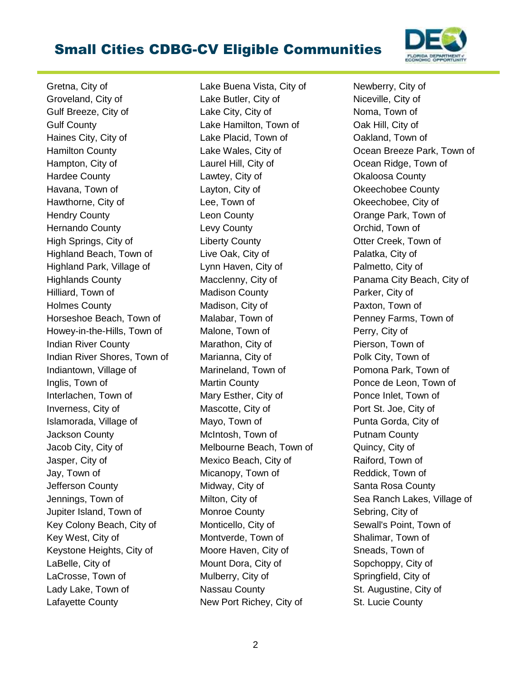## Small Cities CDBG-CV Eligible Communities



Gretna, City of Groveland, City of Gulf Breeze, City of Gulf County Haines City, City of Hamilton County Hampton, City of Hardee County Havana, Town of Hawthorne, City of Hendry County Hernando County High Springs, City of Highland Beach, Town of Highland Park, Village of Highlands County Hilliard, Town of Holmes County Horseshoe Beach, Town of Howey-in-the-Hills, Town of Indian River County Indian River Shores, Town of Indiantown, Village of Inglis, Town of Interlachen, Town of Inverness, City of Islamorada, Village of Jackson County Jacob City, City of Jasper, City of Jay, Town of Jefferson County Jennings, Town of Jupiter Island, Town of Key Colony Beach, City of Key West, City of Keystone Heights, City of LaBelle, City of LaCrosse, Town of Lady Lake, Town of Lafayette County

Lake Buena Vista, City of Lake Butler, City of Lake City, City of Lake Hamilton, Town of Lake Placid, Town of Lake Wales, City of Laurel Hill, City of Lawtey, City of Layton, City of Lee, Town of Leon County Levy County Liberty County Live Oak, City of Lynn Haven, City of Macclenny, City of Madison County Madison, City of Malabar, Town of Malone, Town of Marathon, City of Marianna, City of Marineland, Town of Martin County Mary Esther, City of Mascotte, City of Mayo, Town of McIntosh, Town of Melbourne Beach, Town of Mexico Beach, City of Micanopy, Town of Midway, City of Milton, City of Monroe County Monticello, City of Montverde, Town of Moore Haven, City of Mount Dora, City of Mulberry, City of Nassau County New Port Richey, City of

Newberry, City of Niceville, City of Noma, Town of Oak Hill, City of Oakland, Town of Ocean Breeze Park, Town of Ocean Ridge, Town of Okaloosa County Okeechobee County Okeechobee, City of Orange Park, Town of Orchid, Town of Otter Creek, Town of Palatka, City of Palmetto, City of Panama City Beach, City of Parker, City of Paxton, Town of Penney Farms, Town of Perry, City of Pierson, Town of Polk City, Town of Pomona Park, Town of Ponce de Leon, Town of Ponce Inlet, Town of Port St. Joe, City of Punta Gorda, City of Putnam County Quincy, City of Raiford, Town of Reddick, Town of Santa Rosa County Sea Ranch Lakes, Village of Sebring, City of Sewall's Point, Town of Shalimar, Town of Sneads, Town of Sopchoppy, City of Springfield, City of St. Augustine, City of St. Lucie County